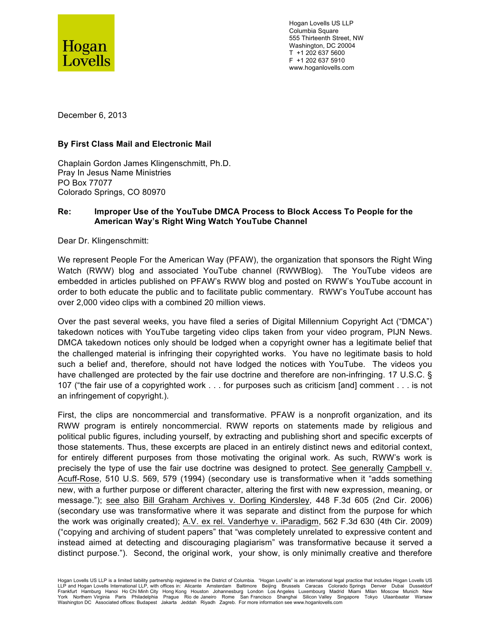

Hogan Lovells US LLP Columbia Square 555 Thirteenth Street, NW Washington, DC 20004 T +1 202 637 5600 F +1 202 637 5910 www.hoganlovells.com

December 6, 2013

## **By First Class Mail and Electronic Mail**

Chaplain Gordon James Klingenschmitt, Ph.D. Pray In Jesus Name Ministries PO Box 77077 Colorado Springs, CO 80970

## **Re: Improper Use of the YouTube DMCA Process to Block Access To People for the American Way's Right Wing Watch YouTube Channel**

Dear Dr. Klingenschmitt:

We represent People For the American Way (PFAW), the organization that sponsors the Right Wing Watch (RWW) blog and associated YouTube channel (RWWBlog). The YouTube videos are embedded in articles published on PFAW's RWW blog and posted on RWW's YouTube account in order to both educate the public and to facilitate public commentary. RWW's YouTube account has over 2,000 video clips with a combined 20 million views.

Over the past several weeks, you have filed a series of Digital Millennium Copyright Act ("DMCA") takedown notices with YouTube targeting video clips taken from your video program, PIJN News. DMCA takedown notices only should be lodged when a copyright owner has a legitimate belief that the challenged material is infringing their copyrighted works. You have no legitimate basis to hold such a belief and, therefore, should not have lodged the notices with YouTube. The videos you have challenged are protected by the fair use doctrine and therefore are non-infringing. 17 U.S.C. § 107 ("the fair use of a copyrighted work . . . for purposes such as criticism [and] comment . . . is not an infringement of copyright.).

First, the clips are noncommercial and transformative. PFAW is a nonprofit organization, and its RWW program is entirely noncommercial. RWW reports on statements made by religious and political public figures, including yourself, by extracting and publishing short and specific excerpts of those statements. Thus, these excerpts are placed in an entirely distinct news and editorial context, for entirely different purposes from those motivating the original work. As such, RWW's work is precisely the type of use the fair use doctrine was designed to protect. See generally Campbell v. Acuff-Rose, 510 U.S. 569, 579 (1994) (secondary use is transformative when it "adds something new, with a further purpose or different character, altering the first with new expression, meaning, or message."); see also Bill Graham Archives v. Dorling Kindersley, 448 F.3d 605 (2nd Cir. 2006) (secondary use was transformative where it was separate and distinct from the purpose for which the work was originally created); A.V. ex rel. Vanderhye v. iParadigm, 562 F.3d 630 (4th Cir. 2009) ("copying and archiving of student papers" that "was completely unrelated to expressive content and instead aimed at detecting and discouraging plagiarism" was transformative because it served a distinct purpose."). Second, the original work, your show, is only minimally creative and therefore

Hogan Lovells US LLP is a limited liability partnership registered in the District of Columbia. "Hogan Lovells" is an international legal practice that includes Hogan Lovells US<br>LLP and Hogan Lovells International LLP, wit Frankfurt Hamburg Hanoi HoChi-MinhCity Hong-Kong Houston Johannesburg London Los-Angeles Luxembourg Madrid Miami Milan Moscow Munich New<br>York Northern-Virginia Paris Philadelphia Prague Rio-de-Janeiro Rome San-Francisco Sh Washington DC Associated offices: Budapest Jakarta Jeddah Riyadh Zagreb. For more information see www.hoganlovells.com